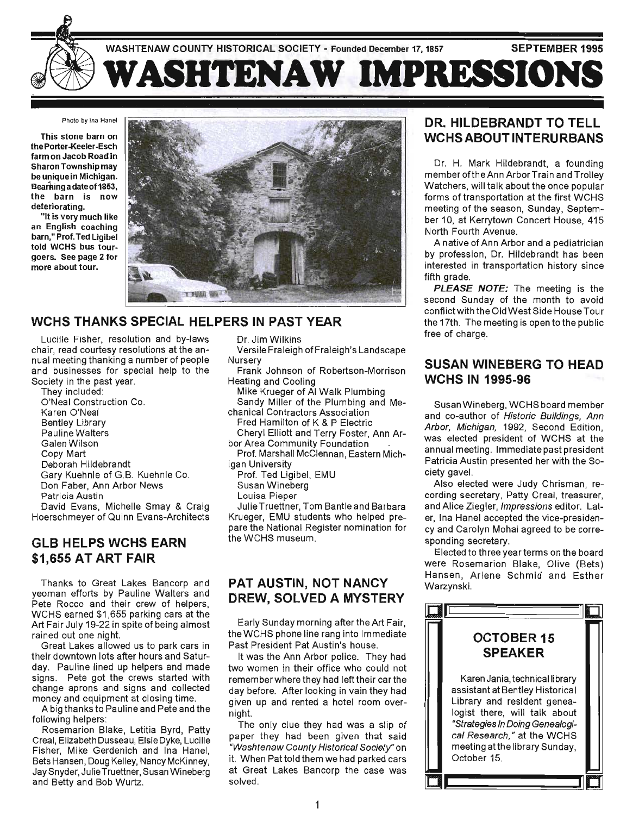

#### Photo by Ina Hanel

This stone barn on the Porter-Keeler-Esch farm on Jacob Road in Sharon Township may be unique in Michigan. Beaming a date of 1853, the barn is now deteriorating.

"It is very much like an English coaching barn," Prof. Ted Ligibel told WCHS bus tourgoers. See page 2 for more about tour.



#### **WCHS THANKS SPECIAL HELPERS IN PAST YEAR**

Lucille Fisher, resolution and by-laws chair, read courtesy resolutions at the annual meeting thanking a number of people and businesses for special help to the Society in the past year.

They included: O'Neal Construction Co. Karen O'Neal Bentley Library Pauline Walters Galen Wilson Copy Mart Deborah Hildebrandt Gary Kuehnle of G.B. Kuehnle Co. Don Faber, Ann Arbor News Patricia Austin

David Evans, Michelle Smay & Craig Hoerschmeyer of Quinn Evans-Architects

#### **GLB HELPS WCHS EARN \$1,655 AT ART FAIR**

Thanks to Great Lakes Bancorp and yeoman efforts by Pauline Walters and Pete Rocco and their crew of helpers, WCHS earned \$1,655 parking cars at the Art Fair July 19-22 in spite of being almost rained out one night.

Great Lakes allowed us to park cars in their downtown lots after hours and Saturday. Pauline lined up helpers and made signs. Pete got the crews started with change aprons and signs and collected money and equipment at closing time.

A big thanks to Pauline and Pete and the following helpers: .

Rosemarion Blake, Letitia Byrd, Patty Creal, Elizabeth Dusseau, Elsie Dyke, Lucille Fisher, Mike Gerdenich and Ina Hanel, Bets Hansen, Doug Kelley, Nancy McKinney, Jay Snyder, Julie Truettner, Susan Wineberg and Betty and Bob Wurtz.

Dr. Jim Wilkins Versile Fraleigh of Fraleigh's Landscape Nursery

Frank Johnson of Robertson-Morrison Heating and Cooling

Mike Krueger of AI Walk Plumbing Sandy Miller of the Plumbing and Mechanical Contractors Association

- Fred Hamilton of K & P Electric
- Cheryl Elliott and Terry Foster, Ann Arbor Area Community Foundation

Prof. Marshall McClennan, Eastern Michigan University

- Prof. Ted Ligibel, EMU
- Susan Wineberg
- Louisa Pieper

Julie Truettner, Torn Bantle and Barbara Krueger, EMU students who helped prepare the National Register nomination for the WCHS museum.

#### **PAT AUSTIN, NOT NANCY DREW, SOLVED A MYSTERY**

Early Sunday morning after the Art Fair, the WCHS phone line rang into Immediate Past President Pat Austin's house.

It was the Ann Arbor police. They had two women in their office who could not remember where they had left their car the day before. After looking in vain they had given up and rented a hotel room overnight.

The only clue they had was a slip of paper they had been given that said UWashtenaw County Historical Society" on it. When Pat told them we had parked cars at Great Lakes Bancorp the case was solved.

#### **DR. HILDEBRANDT TO TELL WCHS ABOUT INTERURBANS**

Dr. H. Mark Hildebrandt, a founding member oftheAnn ArborTrain and Trolley Watchers, will talk about the once popular forms of transportation at the first WCHS meeting of the season, Sunday, September 10, at Kerrytown Concert House, 415 North Fourth Avenue.

A native of Ann Arbor and a pediatrician by profession, Dr. Hildebrandt has been interested in transportation history since fifth grade.

PLEASE NOTE: The meeting is the second Sunday of the month to avoid conflict with the Old West Side House Tour the 17th. The meeting is open to the public free of charge.

#### **SUSAN WINEBERG TO HEAD WCHS IN 1995-96**

Susan Wineberg, WCHS board member and co-author of Historic Buildings, Ann Arbor, Michigan, 1992, Second Edition, was elected president of WCHS at the annual meeting. Immediate past president Patricia Austin presented her with the Society gavel.

Also elected were Judy Chrisman, recording secretary, Patty Creal, treasurer, and Alice Ziegler, Impressions editor. Later, Ina Hanel accepted the vice-presidency and Carolyn Mohai agreed to be corresponding secretary.

Elected to three year terms on the board were Rosemarion Blake, Olive (Bets) Hansen, Arlene Schmid and Esther Warzynski.

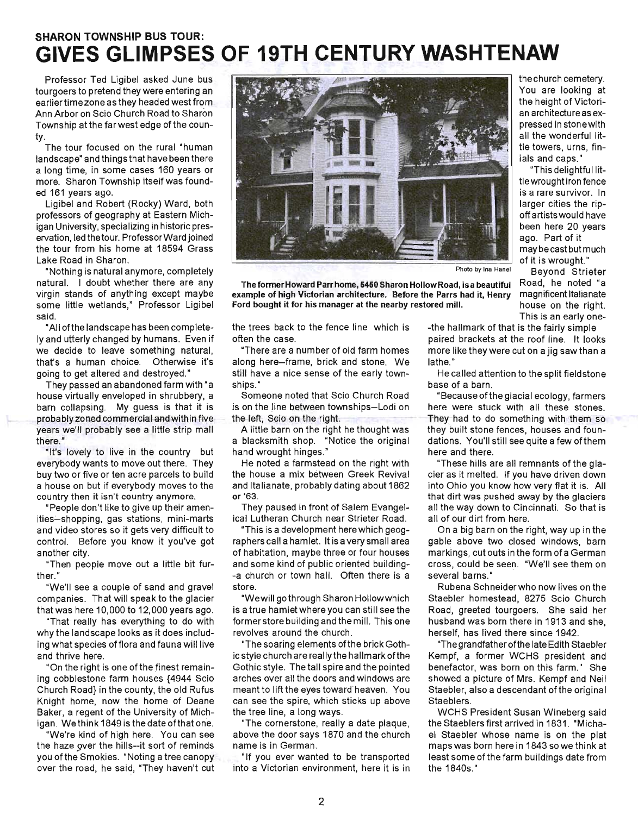# **SHARON TOWNSHIP BUS TOUR: GIVES GLIMPSES OF 19TH CENTURY WASHTENAW**

Professor Ted Ligibel asked June bus tourgoers to pretend they were entering an earlier time zone as they headed westfrom Ann Arbor on Scio Church Road to Sharon Township atthe farwest edge of the county.

The tour focused on the rural "human landscape" and things that have been there a long time, in some cases 160 years or more. Sharon Township itself was founded 161 years ago.

Ligibel and Robert (Rocky) Ward, both professors of geography at Eastern Michigan University, specializing in historic preservation, led the tour. Professor Ward joined the tour from his home at 18594 Grass Lake Road in Sharon.

"Nothing is natural anymore, completely natural. I doubt whether there are any virgin stands of anything except maybe some little wetlands," Professor Ligibel said.

"All ofthe landscape has been complete ly and utterly changed by humans. Even if we decide to leave something natural, that's a human choice. Otherwise it's going to get altered and destroyed."

They passed an abandoned farm with "a house virtually enveloped in shrubbery, a barn collapsing. My guess is that it is probably zoned commercial and within five years we'll probably see a little strip mall there."

"It's lovely to live in the country but everybody wants to move out there. They buy two or five or ten acre parcels to build a house on but if everybody moves to the country then it isn't country anymore.

"People don't like to give up their amenities-shopping, gas stations, mini-marts and video stores so it gets very difficult to control. Before you know it you've got another city.

"Then people move out a little bit further."

"We'll see a couple of sand and gravel companies. That will speak to the glacier that was here 10,000 to 12,000 years ago.

"That really has everything to do with why the landscape looks as it does including what species offlora and fauna will live and thrive here.

"On the right is one of the finest remaining cobblestone farm houses {4944 Scio Church Road} in the county, the old Rufus Knight home, now the home of Deane Baker, a regent of the University of Michigan. We think 1849 is the date of that one.

"We're kind of high here. You can see the haze over the hills--it sort of reminds you of the Smokies. "Noting a tree canopy over the road, he said, "They haven't cut



Photo by Ina Hanel

The former Howard Parr home, 5450 Sharon Hollow Road, is a beautiful example of high Victorian architecture. Before the Parrs had it, Henry Ford bought it for his manager at the nearby restored mill.

the trees back to the fence line which is

"There are a number of old farm homes along here-frame, brick and stone. We still have a nice sense of the early town-

Someone noted that Scio Church Road is on the line between townships-Lodi on

A little barn on the right he thought was a blacksmith shop. "Notice the original

He noted a farmstead on the right with the house a mix between Greek Revival and Italianate, probably dating about 1862

They paused in front of Salem Evangelical Lutheran Church near Strieter Road. "This is a development here which geographers call a hamlet. It is a very small area of habitation, maybe three or four houses and some kind of public oriented building--a church or town hall. Often there is a

"Wewill gothrough Sharon Hollowwhich is a true hamlet where you can still see the former store building and the mill. This one

"The soaring elements of the brick Gothic style church are really the hallmark ofthe Gothic style. The tall spire and the pointed arches over all the doors and windows are meant to lift the eyes toward heaven. You can see the spire, which sticks up above

"The cornerstone, really a date plaque, above the door says 1870 and the church

"If you ever wanted to be transported into a Victorian environment, here it is in

revolves around the church.

the tree line, a long ways.

name is in German.

often the case.

the left, Scio on the right.

hand wrought hinges."

ships."

or '63.

store.

This is an early one--the hallmark of that is the fairly simple paired brackets at the roof line. It looks more like they were cut on a jig saw than a lathe."

He called attention to the split fieldstone base of a barn.

"Because of the glacial ecology, farmers here were stuck with all these stones. They had to do something with them so they built stone fences, houses and foundations. You'll still see quite a few of them here and there.

"These hills are all remnants of the glacier as it melted. If you have driven down into Ohio you know how very flat it is. All that dirt was pushed away by the glaciers all the way down to Cincinnati. So that is all of our dirt from here.

On a big barn on the right, way up in the gable above two closed windows, barn markings, cut outs in the form of a German cross, could be seen. "We'll see them on several barns."

Rubena Schneider who now lives on the Staebler homestead, 8275 Scio Church Road, greeted tourgoers. She said her husband was born there in 1913 and she, herself, has lived there since 1942.

"The grandfather ofthe late Edith Staebler Kempf, a former WCHS president and benefactor, was born on this farm." She showed a picture of Mrs. Kempf and Neil Staebler, also a descendant of the original Staeblers.

WCHS President Susan Wineberg said the Staeblers first arrived in 1831 . "Michael Staebler whose name is on the plat maps was born here in 1843 so we think at least some of the farm buildings date from the 1840s."

the church cemetery. You are looking at the height of Victorian architecture as expressed in stonewith all the wonderful little towers, urns, finials and caps."

"This delightful littie wrought iron fence is a rare survivor. In larger cities the ripoff artists would have been here 20 years ago. Part of it may be cast but much of it is wrought." Beyond Strieter

Road, he noted "a magnificent Italianate house on the right.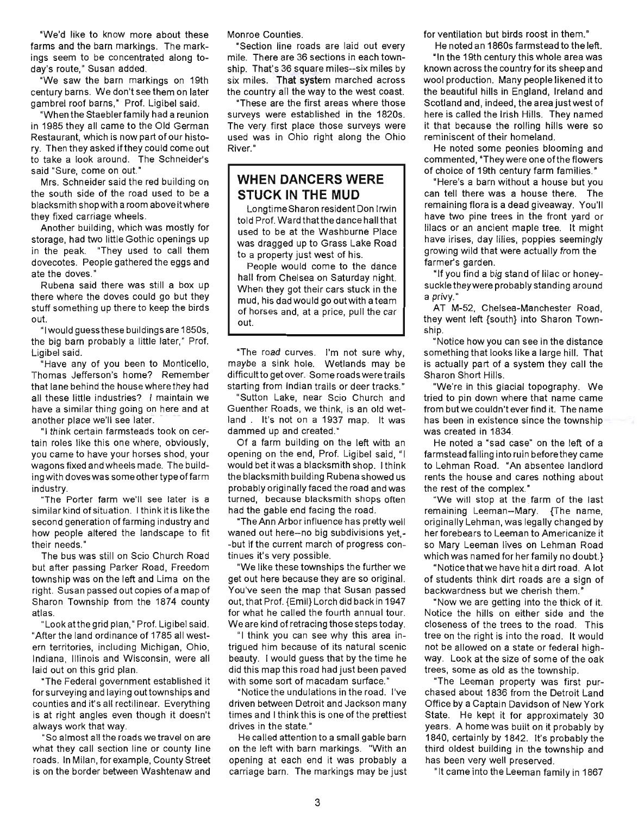"We'd like to know more about these farms and the barn markings. The markings seem to be concentrated along today's route," Susan added.

"We saw the barn markings on 19th century barns. We don't see them on later gambrel roof barns," Prof. Ligibel said.

"When the Staebler family had a reunion in 1985 they all came to the Old German Restaurant, which is now part of our history. Then they asked ifthey could come out to take a look around. The Schneider's said "Sure, come on out."

Mrs. Schneider said the red building on the south side of the road used to be a blacksmith shop with a room above it where they fixed carriage wheels.

Another building, which was mostly for storage, had two little Gothic openings up in the peak. "They used to call them dovecotes. People gathered the eggs and ate the doves."

Rubena said there was still a box up there where the doves could go but they stuff something up there to keep the birds out.

"I would guess these buildings are 1850s, the big barn probably a little later," Prof. Ligibel said.

"Have any of you been to Monticello, Thomas Jefferson's home? Remember that lane behind the house where they had all these little industries? I maintain we have a similar thing going on here and at another place we'll see later.

"I think certain farmsteads took on certain roles like this one where, obviously, you came to have your horses shod, your wagons fixed and wheels made. The building with doves was some other type of farm industry.

"The Porter farm we'll see later is a similar kind of situation. I think it is like the second generation of farming industry and how people altered the landscape to fit their needs."

The bus was still on Scio Church Road but after passing Parker Road, Freedom township was on the left and Lima on the right. Susan passed out copies of a map of Sharon Township from the 1874 county atlas.

"Look atthe grid plan," Prof. Ligibel said. "After the land ordinance of 1785 all western territories, including Michigan, Ohio, Indiana, Illinois and Wisconsin, were all laid out on this grid plan.

"The Federal government established it for surveying and laying out townships and counties and it's all rectilinear. Everything is at right angles even though it doesn't always work that way.

"So almost all the roads we travel on are what they call section line or county line roads. In Milan, for example, County Street is on the border between Washtenaw and Monroe Counties.

"Section line roads are laid out every mile. There are 36 sections in each township. That's 36 square miles--six miles by six miles. That system marched across the country all the way to the west coast.

"These are the first areas where those surveys were established in the 1820s. The very first place those surveys were used was in Ohio right along the Ohio River."

#### **WHEN DANCERS WERE STUCK IN THE MUD**

Longtime Sharon resident Don Irwin told Prof. Ward thatthe dance hall that used to be at the Washburne Place was dragged up to Grass Lake Road to a property just west of his.

People would come to the dance hall from Chelsea on Saturday night. When they got their cars stuck in the mud, his dad would go out with a team of horses and, at a price, pull the car out.

"The road curves. I'm not sure why, maybe a sink hole. Wetlands may be difficultto get over. Some roads were trails starting from Indian trails or deer tracks."

"Sutton Lake, near Scio Church and Guenther Roads, we think, is an old wetland . It's not on a 1937 map. It was dammed up and created."

Of a farm building on the left with an opening on the end, Prof. Ligibel said, "I would bet itwas a blacksmith shop. I think the blacksmith building Rubena showed us probably originally faced the road and was turned, because blacksmith shops often had the gable end facing the road.

"The Ann Arbor influence has pretty well waned out here-no big subdivisions yet,- -but if the current march of progress continues it's very possible.

"We like these townships the further we get out here because they are so original. You've seen the map that Susan passed out, that Prof. {Emil} Lorch did back in 1947 for what he called the fourth annual tour. We are kind of retracing those steps today.

"I think you can see why this area intrigued him because of its natural scenic beauty. I would guess that by the time he did this map this road had just been paved with some sort of macadam surface."

"Notice the undulations in the road. I've driven between Detroit and Jackson many times and I think this is one of the prettiest drives in the state."

He called attention to a small gable barn on the left with barn markings. "With an opening at each end it was probably a carriage barn. The markings may be just for ventilation but birds roost in them."

He noted an 1860s farmstead to the left. "In the 19th century this whole area was known across the country for its sheep and wool production. Many people likened it to the beautiful hills in England, Ireland and Scotland and, indeed, the area just west of here is called the Irish Hills. They named it that because the rolling hills were so reminiscent of their homeland.

He noted some peonies blooming and com mented, "They were one ofthe flowers of choice of 19th century farm families. "

"Here's a barn without a house but you can tell there was a house there. The remaining flora is a dead giveaway. You'll have two pine trees in the front yard or lilacs or an ancient maple tree. It might have irises, day lilies, poppies seemingly growing wild that were actually from the farmer's garden.

"If you find a big stand of lilac or honeysuckle they were probably standing around a privy."

AT M-52, Chelsea-Manchester Road, they went left {south} into Sharon Township.

"Notice how you can see in the distance something that looks like a large hill. That is actually part of a system they call the Sharon Short Hills.

"We're in this glacial topography. We tried to pin down where that name came from butwe couldn't ever find it. The name has been in existence since the township was created in 1834.

He noted a "sad case" on the left of a farmstead falling into ruin before they came to Lehman Road. "An absentee landlord rents the house and cares nothing about the rest of the complex."

·We will stop at the farm of the last remaining Leeman-Mary. {The name, originally Lehman, was legally changed by her forebears to Leeman to Americanize it so Mary Leeman lives on Lehman Road which was named for her family no doubt.}

"Notice that we have hit a dirt road. A lot of stUdents think dirt roads are a sign of backwardness but we cherish them."

"Now we are getting into the thick of it. Notice the hills on either side and the closeness of the trees to the road. This tree on the right is into the road. It would not be allowed on a state or federal highway. Look at the size of some of the oak trees, some as old as the township.

"The Leeman property was first purchased about 1836 from the Detroit Land Office by a Captain Davidson of New York State. He kept it for approximately 30 years. A home was built on it probably by 1840, certainly by 1842. It's probably the third oldest building in the township and has been very well preserved.

"It came into the Leeman family in 1867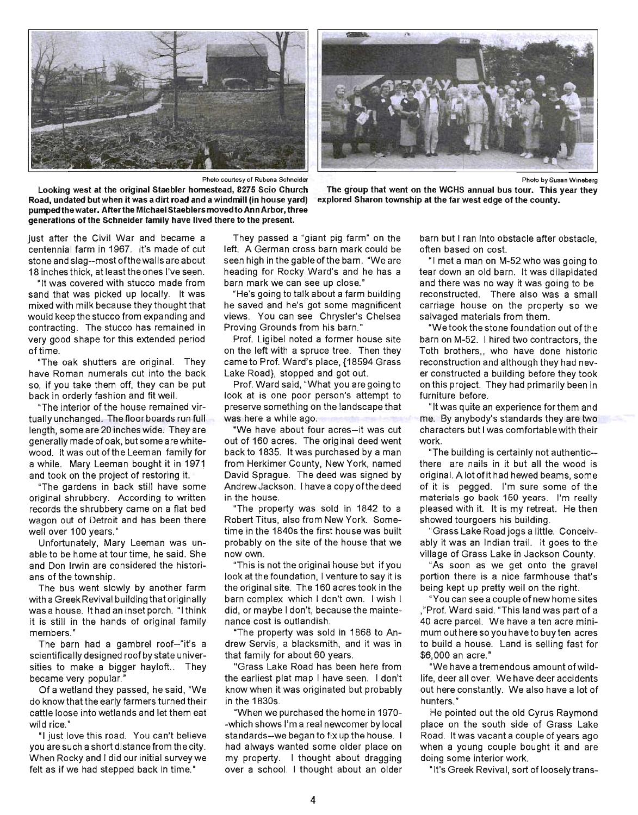



The group that went on the WCHS annual bus tour. This year they

explored Sharon township at the far west edge of the county.

Photo by Susan Wineberg

Photo courtesy of Rubena Schneider

Looking west at the original Staebler homestead, 8275 Scio Church Road, undated but when it was a dirt road and a windmill (in house yard) pumped the water. After the Michael Staeblers moved to Ann Arbor, three generations of the Schneider family have lived there to the present.

barn but I ran into obstacle after obstacle,

just after the Civil War and became a centennial farm in 1967. It's made of cut stone and slag-most ofthe walls are about 18 inches thick, at least the ones I've seen.

"It was covered with stucco made from sand that was picked up locally. It was mixed with milk because they thought that would keep the stucco from expanding and contracting. The stucco has remained in very good shape for this extended period of time.

"The oak shutters are original. They have Roman numerals cut into the back so, if you take them off, they can be put back in orderly fashion and fit well.

"The interior of the house remained virtually unchanged. The floor boards run full length, some are 20 inches wide. They are generally made of oak, but some are whitewood. It was out of the Leeman family for a while. Mary Leeman bought it in 1971 and took on the project of restoring it.

"The gardens in back still have some original shrubbery. According to written records the shrubbery came on a flat bed wagon out of Detroit and has been there well over 100 years.»

Unfortunately, Mary Leeman was unable to be home at tour time, he said. She and Don Irwin are considered the historians of the township.

The bus went slowly by another farm with a Greek Revival building that originally was a house. It had an inset porch. "I think it is still in the hands of original family members."

The barn had a gambrel roof--"it's a scientifically designed roof by state universities to make a bigger hayloft.. They became very popular."

Of a wetland they passed, he said, "We do know that the early farmers turned their cattle loose into wetlands and let them eat wild rice."

"I justlove this road. You can't believe you are such a short distance from the city. When Rocky and I did our initial survey we felt as if we had stepped back in time."

They passed a "giant pig farm" on the left. A German cross barn mark could be seen high in the gable of the barn. "We are heading for Rocky Ward's and he has a barn mark we can see up close."

"He's going to talk about a farm building he saved and he's got some magnificent views. You can see Chrysler's Chelsea Proving Grounds from his barn."

Prof. Ligibel noted a former house site on the left with a spruce tree. Then they came to Prof. Ward's place, {18594 Grass Lake Road}, stopped and got out.

Prof. Ward said, "What you are going to look at is one poor person's attempt to preserve something on the landscape that was here a while ago.

·We have about four acres-it was cut out of 160 acres. The original deed went back to 1835. It was purchased by a man from Herkimer County, New York, named David Sprague. The deed was signed by Andrew Jackson. I have a copy of the deed in the house.

"The property was sold in 1842 to a Robert Titus, also from New York. Sometime in the 1840s the first house was built probably on the site of the house that we now own.

"This is not the original house but if you look at the foundation, I venture to say it is the original site. The 160 acres took in the barn complex which I don't own. I wish I did, or maybe I don't, because the maintenance cost is outlandish.

"The property was sold in 1868 to Andrew Servis, a blacksmith, and it was in that family for about 60 years.

"Grass Lake Road has been here from the earliest plat map I have seen. I don't know when it was originated but probably in the 1830s.

"When we purchased the home in 1970- -which shows I'm a real newcomer by local standards--we began to fix up the house. I had always wanted some older place on my property. I thought about dragging over a school. I thought about an older often based on cost.

"I met a man on M-52 who was going to tear down an old barn. It was dilapidated and there was no way it was going to be reconstructed. There also was a small carriage house on the property so we salvaged materials from them.

"We took the stone foundation out ofthe barn on M-52. I hired two contractors, the Toth brothers, who have done historic reconstruction and although they had never constructed a building before they took on this project. They had primarily been in furniture before.

"It was quite an experience forthem and me. By anybody's standards they are two characters but I was comfortable with their work.

"The building is certainly not authentic- there are nails in it but all the wood is original. A lot of it had hewed beams, some of it is pegged. I'm sure some of the materials go back 150 years. I'm really pleased with it. It is my retreat. He then showed tourgoers his building.

"Grass Lake Roadjogs a little. Conceivably it was an Indian trail. It goes to the village of Grass Lake in Jackson County.

"As soon as we get onto the gravel portion there is a nice farmhouse that's being kept up pretty well on the right.

"You can see a couple of new home sites ,"Prof. Ward said. "This land was part of a 40 acre parcel. We have a ten acre minimum out here so you haveto buy ten acres to build a house. Land is selling fast for \$6,000 an acre."

"We have a tremendous amount of wildlife, deer all over. We have deer accidents out here constantly. We also have a lot of hunters."

He pointed out the old Cyrus Raymond place on the south side of Grass Lake Road. It was vacant a couple of years ago when a young couple bought it and are doing some interior work.

"It's Greek Revival, sort of loosely trans-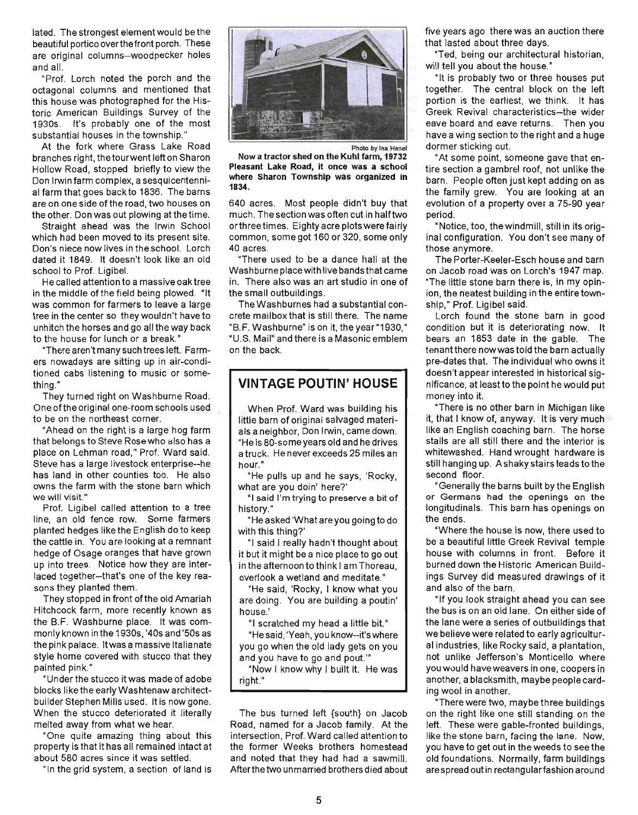lated. The strongest element would be the beautiful portico overthefront porch. These are original columns-woodpecker holes and all.

"Prof. Lorch noted the porch and the octagonal columns and mentioned that this house was photographed for the Historic American Buildings Survey of the 1930s. It's probably one of the most substantial houses in the township."

At the fork where Grass Lake Road branches right, thetourwent left on Sharon Hollow Road, stopped briefly to view the Don Irwin farm complex, a sesquicentennial farm that goes backto 1836. The barns are on one side of the road, two houses on the other. Don was out plowing at the time.

Straight ahead was the Irwin School which had been moved to its present site. Don's niece now lives in the school. Lorch dated it 1849. It doesn't look like an old school to Prof. Ligibel.

He called attention to a massive oak tree in the middle of the field being plowed. "It was common for farmers to leave a large tree in the center so they wouldn't have to unhitch the horses and go all the way back to the house for lunch or a break."

"There aren't many such trees left. Farmers nowadays are sitting up in air-conditioned cabs listening to music or something."

They turned right on Washburne Road. One ofthe original one-room schools used to be on the northeast corner.

"Ahead on the right is a large hog farm that belongs to Steve Rose who also has a place on Lehman road," Prof. Ward said. Steve has a large livestock enterprise--he has land in other counties too. He also owns the farm with the stone barn which we will visit."

Prof. Ligibel called attention to a tree line, an old fence row. Some farmers planted hedges like the English do to keep the cattle in. You are looking at a remnant hedge of Osage oranges that have grown up into trees. Notice how they are interlaced together--that's one of the key reasons they planted them.

They stopped in front of the old Amariah Hitchcock farm, more recently known as the B.F. Washburne place. It was commonly known in the 1930s, '40s and '50s as the pink palace. It was a massive Italianate style home covered with stucco that they painted pink."

"Under the stucco it was made of adobe blocks like the early Washtenaw architectbuilder Stephen Mills used. It is now gone. When the stucco deteriorated it literally melted away from what we hear.

"One quite amazing thing about this property is that it has all remained intact at about 580 acres since it was settled.

"In the grid system, a section of land is



Now a tractor shed on the Kuhl farm, 19732 Pleasant Lake Road, it once was a school where Sharon Township was organized in 1834.

640 acres. Most people didn't buy that much. The section was often cut in half two orthree times. Eighty acre plots were fairly common, some got 160 or 320, some only 40 acres.

"There used to be a dance hall at the Washburne place with live bands that came in. There also was an art studio in one of the small outbuildings.

The Washburnes had a substantial concrete mailbox that is still there. The name "B.F. Washburne" is on it, the year "1930," "U.S. Mail" and there is a Masonic emblem on the back.

#### **VINTAGE POUTIN' HOUSE**

When Prof. Ward was building his little barn of original salvaged materials a neighbor, Don Irwin, came down. "He is 80-some years old and he drives a truck. He never exceeds 25 miles an hour."

"He pulls up and he says, 'Rocky, what are you doin' here?'

"I said I'm trying to preserve a bit of history."

"He asked 'What are you going to do with this thing?'

"I said I really hadn't thought about it but it might be a nice place to go out in the afternoon to think I am Thoreau, overlook a wetland and meditate."

"He said, 'Rocky, I know what you are doing. You are building a poutin' house.'

"I scratched my head a little bit."

"He said, 'Yeah, youknow--it'swhere you go when the old lady gets on you and you have to go and pout.'"

"Now I know why I built it. He was right. "

The bus turned left {south} on Jacob Road, named for a Jacob family. At the intersection, Prof. Ward called attention to the former Weeks brothers homestead and noted that they had had a sawmill. After the two unmarried brothers died about

five years ago there was an auction there that lasted about three days.

"Ted, being our architectural historian, will tell you about the house."

"It is probably two or three houses put together. The central block on the left portion is the earliest, we think. It has Greek Revival characteristics- the wider eave board and eave returns. Then you have a wing section to the right and a huge dormer sticking out.

"At some point, someone gave that entire section a gambrel roof, not unlike the barn. People often just kept adding on as the family grew. You are looking at an evolution of a property over a 75-90 year period.

"Notice, too, the windmill, still in its original configuration. You don't see many of those anymore.

The Porter-Keeler-Esch house and barn on Jacob road was on Lorch's 1947 map. "The little stone barn there is, in my opinion, the neatest building in the entire township," Prof. Ligibel said.

Lorch found the stone barn in good condition but it is deteriorating now. It bears an 1853 date in the gable. The tenant there now was told the barn actually pre-dates that. The individual who owns it doesn't appear interested in historical significance, at least to the point he would put money into it.

"There is no other barn in Michigan like it, that I know of, anyway. It is very much like an English coaching barn. The horse stalls are all still there and the interior is whitewashed. Hand wrought hardware is still hanging up. A shaky stairs leads to the second floor.

"Generally the barns built by the English or Germans had the openings on the longitudinals. This barn has openings on the ends.

"Where the house is now, there used to be a beautiful little Greek Revival temple house with columns in front. Before it burned down the Historic American Buildings Survey did measured drawings of it and also of the barn.

"If you look straight ahead you can see the bus is on an old lane. On either side of the lane were a series of outbuildings that we believe were related to early agricultural industries, like Rocky said, a plantation, not unlike Jefferson's Monticello where you would have weavers in one, coopers in another, a blacksmith, maybe people carding wool in another.

"There were two, maybe three buildings on the right like one still standing on the left. These were gable-fronted buildings, like the stone barn, facing the lane. Now, you have to get out in the weeds to see the old foundations. Normally, farm buildings are spread out in rectangular fashion around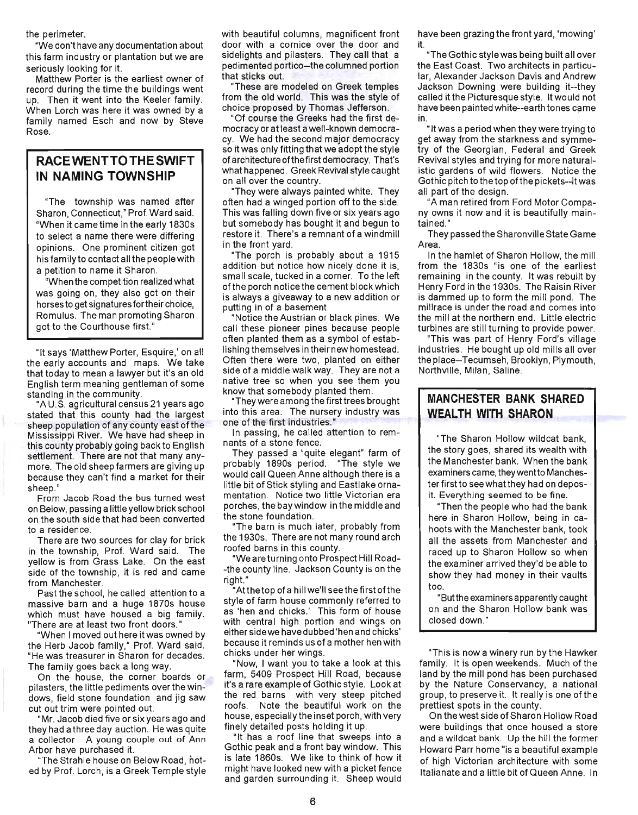the perimeter.

"We don't have any documentation about this farm industry or plantation but we are seriously looking for it.

Matthew Porter is the earliest owner of record during the time the buildings went up. Then it went into the Keeler family. When Lorch was here it was owned by a family named Esch and now by Steve Rose.

#### **RACE WENTTO THE SWIFT IN NAMING TOWNSHIP**

"The township was named after Sharon, Connecticut," Prof. Ward said. "When it came time in the early 1830s to select a name there were differing opinions. One prominent citizen got his family to contact all the people with a petition to name it Sharon.

"When the competition realized what was going on, they also got on their horses to get signatures fortheir choice, Romulus. The man promoting Sharon got to the Courthouse first."

"It says 'Matthew Porter, Esquire,' on all the early accounts and maps. We take that today to mean a lawyer but it's an old English term meaning gentleman of some standing in the community.

"A U.S. agricultural census 21 years ago stated that this county had the largest sheep population of any county east of the Mississippi River. We have had sheep in this county probably going back to English settlement. There are not that many anymore. The old sheep farmers are giving up because they can't find a market for their sheep."

From Jacob Road the bus turned west on Below, passing a little yellow brick school on the south side that had been converted to a residence.

There are two sources for clay for brick in the township, Prof. Ward said. The yellow is from Grass Lake. On the east side of the township, it is red and came from Manchester.

Past the school, he called attention to a massive barn and a huge 1870s house which must have housed a big family. "There are at least two front doors."

"When I moved out here it was owned by the Herb Jacob family," Prof. Ward said. "He was treasurer in Sharon for decades. The family goes back a long way.

On the house, the corner boards or pilasters, the little pediments overthe windows, field stone foundation and jig saw cut out trim were pointed out.

"Mr. Jacob died five or six years ago and they had a three day auction. He was quite a collector. A young couple out of Ann Arbor have purchased it.

"The Strahle house on Below Road, noted by Prof. Lorch, is a Greek Temple style with beautiful columns, magnificent front door with a cornice over the door and sidelights and pilasters. They call that a pedimented portico-the columned portion that sticks out.

"These are modeled on Greek temples from the old world. This was the style of choice proposed by Thomas Jefferson.

"Of course the Greeks had the first democracy or at least a well-known democracy. We had the second major democracy so itwas only fitting that we adopt the style of architecture ofthefirst democracy. That's what happened. Greek Revival style caught on all over the country.

"They were always painted white. They often had a winged portion off to the side. This was falling down five or six years ago but somebody has bought it and begun to restore it. There's a remnant of a windmill in the front yard.

"The porch is probably about a 1915 addition but notice how nicely done it is, small scale, tucked in a corner. To the left ofthe porch notice the cement blockwhich is always a giveaway to a new addition or putting in of a basement.

"Notice the Austrian or black pines. We call these pioneer pines because people often planted them as a symbol of establishing themselves in their new homestead. Often there were two, planted on either side of a middle walk way. They are not a native tree so when you see them you know that somebody planted them.

"They were among the first trees brought into this area. The nursery industry was one of the first industries."

In passing, he called attention to remnants of a stone fence.

They passed a "quite elegant" farm of probably 1890s period. "The style we would call Queen Anne although there is a little bit of Stick styling and Eastlake ornamentation. Notice two little Victorian era porches, the bay window in the middle and the stone foundation.

"The barn is much later, probably from the 1930s. There are not many round arch roofed barns in this county.

"We are turning onto Prospect Hill Road- -the county line. Jackson County is on the right. "

"Atthetop of a hill we'll seethe first ofthe style of farm house commonly referred to as 'hen and chicks.' This form of house with central high portion and wings on either sidewe have dubbed 'hen and chicks' because it reminds us of a mother hen with chicks under her wings.

"Now, I want you to take a look at this farm, 5409 Prospect Hill Road, because it's a rare example of Gothic style. Look at the red barns with very steep pitched roofs. Note the beautiful work on the house, especially the inset porch, with very finely detailed posts holding it up.

"It has a roof line that sweeps into a Gothic peak and a front bay window. This is late 1860s. We like to think of how it might have looked new with a picket fence and garden surrounding it. Sheep would

have been grazing the front yard, 'mowing' it.

"The Gothic style was being built all over the East Coast. Two architects in particular, Alexander Jackson Davis and Andrew Jackson Downing were building it--they called it the Picturesque style. It would not have been painted white--earth tones came in.

" It was a period when they were trying to get away from the starkness and symmetry of the Georgian, Federal and Greek Revival styles and trying for more naturalistic gardens of wild flowers. Notice the Gothic pitch to the top ofthe pickets--it was all part of the design.

"A man retired from Ford Motor Company owns it now and it is beautifully maintained.'

They passed the Sharonville State Game Area.

In the hamlet of Sharon Hollow, the mill from the 1830s "is one of the earliest remaining in the county. It was rebuilt by Henry Ford in the 1930s. The Raisin River is dammed up to form the mill pond. The millrace is under the road and comes into the mill at the northern end. Little electric turbines are still turning to provide power.

"This was part of Henry Ford's village industries. He bought up old mills all over the place-Tecumseh, Brooklyn, Plymouth, Northville, Milan, Saline.

#### **MANCHESTER BANK SHARED WEALTH WITH SHARON**

"The Sharon Hollow wildcat bank, the story goes, shared its wealth with the Manchester bank. When the bank examiners came, theywentto Manchester first to see what they had on deposit. Everything seemed to be fine.

"Then the people who had the bank here in Sharon Hollow, being in cahoots with the Manchester bank, took all the assets from Manchester and raced up to Sharon Hollow so when the examiner arrived they'd be able to show they had money in their vaults too.

"Butthe examiners apparently caught on and the Sharon Hollow bank was closed down."

"This is now a winery run by the Hawker family. It is open weekends. Much of the land by the mill pond has been purchased by the Nature Conservancy, a national group, to preserve it. It really is one of the prettiest spots in the county.

On the west side of Sharon Hollow Road were buildings that once housed a store and a wildcat bank. Up the hill the former Howard Parr home "is a beautiful example of high Victorian architecture with some Italianate and a little bit of Queen Anne. In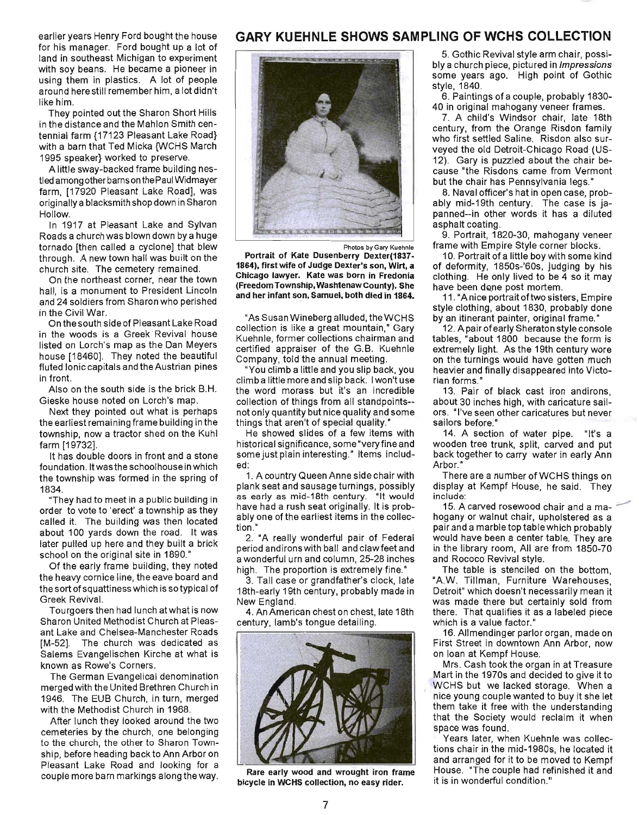earlier years Henry Ford bought the house for his manager. Ford bought up a lot of land in southeast Michigan to experiment with soy beans. He became a pioneer in using them in plastics. A lot of people around here still remember him, a lot didn't like him.

They pointed out the Sharon Short Hills in the distance and the Mahlon Smith centennial farm {17123 Pleasant Lake Road} with a barn that Ted Micka {WCHS March 1995 speaker} worked to preserve.

A little sway-backed frame building nestled among other barns on the Paul Widmayer farm, [17920 Pleasant Lake Road], was originally a blacksmith shop down in Sharon Hollow.

In 1917 at Pleasant Lake and Sylvan Roads a church was blown down by a huge tornado [then called a cyclone] that blew through. A new town hall was built on the church site. The cemetery remained.

On the northeast corner, near the town hall, is a monument to President Lincoln and 24 soldiers from Sharon who perished in the Civil War.

On the south side of Pleasant Lake Road in the woods is a Greek Revival house listed on Lorch's map as the Dan Meyers house [18460]. They noted the beautiful fluted Ionic capitals and the Austrian pines in front.

Also on the south side is the brick B.H. Gieske house noted on Lorch's map.

Next they pointed out what is perhaps the earliest remaining frame building in the township, now a tractor shed on the Kuhl farm [19732].

It has double doors in front and a stone foundation. It was the schoolhouse in which the township was formed in the spring of 1834.

"They had to meet in a public building in order to vote to 'erect' a township as they called it. The building was then located about 100 vards down the road. It was later pulled up here and they built a brick school on the original site in 1890."

Of the early frame building, they noted the heavy cornice line, the eave board and the sort of squattiness which is so typical of Greek Revival.

Tourgoers then had lunch atwhat is now Sharon United Methodist Church at Pleasant Lake and Chelsea-Manchester Roads [M-52]. The church was dedicated as Salems Evangelischen Kirche at what is known as Rowe's Corners.

The German Evangelical denomination merged with the United Brethren Church in 1946. The EUB Church, in turn, merged with the Methodist Church in 1968.

After lunch they looked around the two cemeteries by the church, one belonging to the church, the other to Sharon Township, before heading back to Ann Arbor on Pleasant Lake Road and looking for a couple more barn markings along the way.

#### **GARY KUEHNLE SHOWS SAMPLING OF WCHS COLLECTION**



Photos by Gary Kuehnle

Portrait of Kate Dusenberry Dexter(1837- 1864), first wife of Judge Dexter's son, Wirt, a Chicago lawyer. Kate was born in Fredonia (Freedom Township, Washtenaw County). She and her infant son, Samuel, both died in 1864.

"As Susan Wineberg alluded, the WCHS collection is like a great mountain," Gary Kuehnle, former collections chairman and certified appraiser of the G.B. Kuehnle Company, told the annual meeting.

"You climb a little and you slip back, you climb a little more and slip back. I won't use the word morass but it's an incredible collection of things from all standpoints- not only quantity but nice quality and some things that aren't of special quality."

He showed slides of a few items with historical significance, some "very fine and some just plain interesting." Items included:

1. A country Queen Anne side chair with plank seat and sausage turnings, possibly as early as mid-18th century. "It would have had a rush seat originally. It is probably one of the earliest items in the collection."

2. "A really wonderful pair of Federal period andirons with ball and claw feet and a wonderful urn and column, 25-28 inches high. The proportion is extremely fine."

3. Tall case or grandfather's clock, late 18th-early 19th century, probably made in New England.

4. An American chest on chest, late 18th century, lamb's tongue detailing.



Rare early wood and wrought iron frame bicycle in WCHS collection, no easy rider.

5. Gothic Revival style arm chair, possibly a church piece, pictured in *Impressions* some years ago. High point of Gothic style, 1840.

6. Paintings of a couple, probably 1830- 40 in original mahogany veneer frames.

7. A child's Windsor chair, late 18th century, from the Orange Risdon family who first settled Saline. Risdon also surveyed the old Detroit-Chicago Road (US-12). Gary is puzzled about the chair because "the Risdons came from Vermont but the chair has Pennsylvania legs."

8. Naval officer's hat in open case, probably mid-19th century. The case is japanned--in other words it has a diluted asphalt coating.

9. Portrait, 1820-30, mahogany veneer frame with Empire Style corner blocks.

10. Portrait of a little boy with some kind of deformity, 1850s-'60s, judging by his clothing. He only lived to be 4 so it may have been done post mortem.

11. "Anice portrait of two sisters, Empire style clothing, about 1830, probably done by an itinerant painter, original frame."

12. A pair of early Sheraton style console tables, "about 1800 because the form is extremely light. As the 19th century wore on the turnings would have gotten much heavier and finally disappeared into Victorian forms."

13. Pair of black cast iron andirons, about 30 inches high, with caricature sailors. "I've seen other caricatures but never sailors before."

14. A section of water pipe. "It's a wooden tree trunk, split, carved and put back together to carry water in early Ann Arbor."

There are a number of WCHS things on display at Kempf House, he said. They include:

15. A carved rosewood chair and a mahogany or walnut chair, upholstered as a pair and a marble top table which probably would have been a center table. They are in the library room, All are from 1850-70 and Rococo Revival style.

The table is stenciled on the bottom, "AW. Tillman, Furniture Warehouses, Detroit" which doesn't necessarily mean it was made there but certainly sold from there. That qualifies it as a labeled piece which is a value factor."

16. Allmendinger parlor organ, made on First Street in downtown Ann Arbor, now on loan at Kempf House.

Mrs. Cash took the organ in at Treasure Mart in the 1970s and decided to give it to WCHS but we lacked storage. When a nice young couple wanted to buy it she let them take it free with the understanding that the Society would reclaim it when space was found.

Years later, when Kuehnle was collections chair in the mid-1980s, he located it and arranged for it to be moved to Kempf House. "The couple had refinished it and it is in wonderful condition."